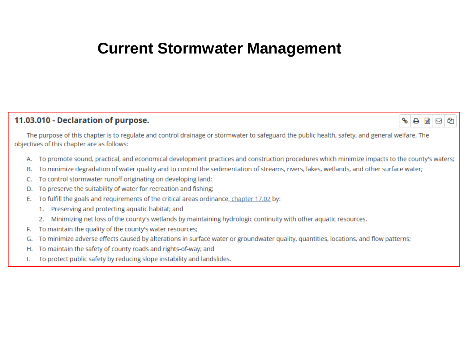#### **Current Stormwater Management**

#### 11.03.010 - Declaration of purpose.

 $\circ$   $\Box$ 

The purpose of this chapter is to regulate and control drainage or stormwater to safeguard the public health, safety, and general welfare. The objectives of this chapter are as follows:

- To promote sound, practical, and economical development practices and construction procedures which minimize impacts to the county's waters;
- To minimize degradation of water quality and to control the sedimentation of streams, rivers, lakes, wetlands, and other surface water; В.
- To control stormwater runoff originating on developing land; C.
- To preserve the suitability of water for recreation and fishing; D.
- To fulfill the goals and requirements of the critical areas ordinance, chapter 17.02 by: F.
	- 1. Preserving and protecting aquatic habitat; and
	- 2. Minimizing net loss of the county's wetlands by maintaining hydrologic continuity with other aquatic resources.
- F. To maintain the quality of the county's water resources;
- To minimize adverse effects caused by alterations in surface water or groundwater quality, quantities, locations, and flow patterns; G.
- To maintain the safety of county roads and rights-of-way; and Η.
- To protect public safety by reducing slope instability and landslides. ı.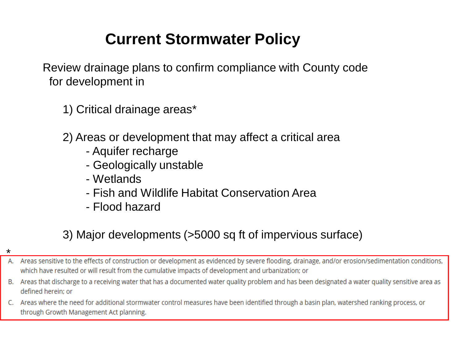# **Current Stormwater Policy**

Review drainage plans to confirm compliance with County code for development in

1) Critical drainage areas\*

2) Areas or development that may affect a critical area

- Aquifer recharge
- Geologically unstable
- Wetlands
- Fish and Wildlife Habitat Conservation Area
- Flood hazard

#### 3) Major developments (>5000 sq ft of impervious surface)

- A. Areas sensitive to the effects of construction or development as evidenced by severe flooding, drainage, and/or erosion/sedimentation conditions, which have resulted or will result from the cumulative impacts of development and urbanization; or
- B. Areas that discharge to a receiving water that has a documented water quality problem and has been designated a water quality sensitive area as defined herein: or
- C. Areas where the need for additional stormwater control measures have been identified through a basin plan, watershed ranking process, or through Growth Management Act planning.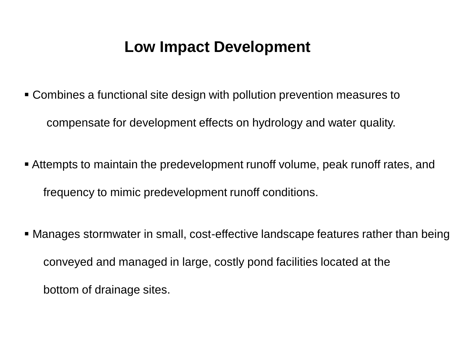### **Low Impact Development**

- Combines a functional site design with pollution prevention measures to compensate for development effects on hydrology and water quality.
- Attempts to maintain the predevelopment runoff volume, peak runoff rates, and frequency to mimic predevelopment runoff conditions.
- Manages stormwater in small, cost-effective landscape features rather than being conveyed and managed in large, costly pond facilities located at the bottom of drainage sites.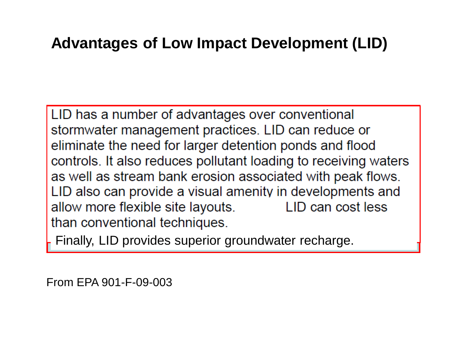## **Advantages of Low Impact Development (LID)**

LID has a number of advantages over conventional stormwater management practices. LID can reduce or eliminate the need for larger detention ponds and flood controls. It also reduces pollutant loading to receiving waters as well as stream bank erosion associated with peak flows. LID also can provide a visual amenity in developments and allow more flexible site layouts. LID can cost less than conventional techniques.

Finally, LID provides superior groundwater recharge.

From EPA 901-F-09-003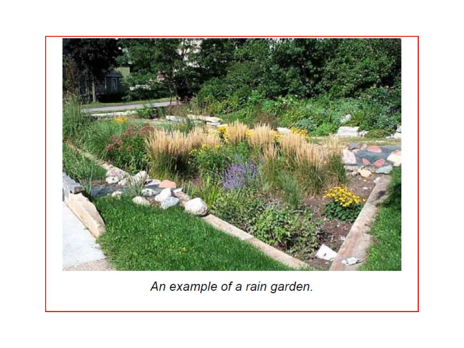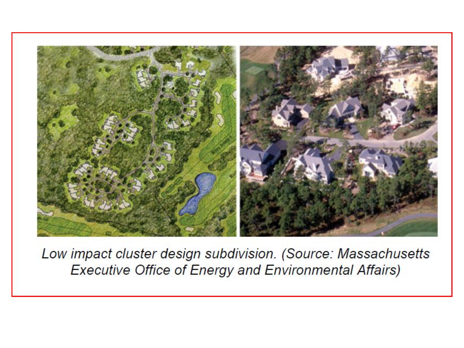

Low impact cluster design subdivision. (Source: Massachusetts **Executive Office of Energy and Environmental Affairs)**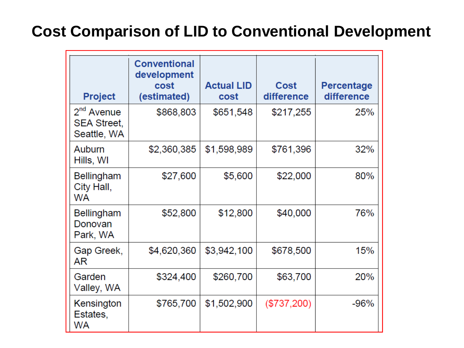## **Cost Comparison of LID to Conventional Development**

| <b>Project</b>                                    | <b>Conventional</b><br>development<br>cost<br>(estimated) | <b>Actual LID</b><br>cost | Cost<br>difference | <b>Percentage</b><br>difference |
|---------------------------------------------------|-----------------------------------------------------------|---------------------------|--------------------|---------------------------------|
| $2nd$ Avenue<br><b>SEA Street,</b><br>Seattle, WA | \$868,803                                                 | \$651,548                 | \$217,255          | 25%                             |
| Auburn<br>Hills, WI                               | \$2,360,385                                               | \$1,598,989               | \$761,396          | 32%                             |
| <b>Bellingham</b><br>City Hall,<br><b>WA</b>      | \$27,600                                                  | \$5,600                   | \$22,000           | 80%                             |
| <b>Bellingham</b><br>Donovan<br>Park, WA          | \$52,800                                                  | \$12,800                  | \$40,000           | 76%                             |
| Gap Greek,<br>AR                                  | \$4,620,360                                               | \$3,942,100               | \$678,500          | 15%                             |
| Garden<br>Valley, WA                              | \$324,400                                                 | \$260,700                 | \$63,700           | 20%                             |
| Kensington<br>Estates,<br><b>WA</b>               | \$765,700                                                 | \$1,502,900               | (\$737,200)        | $-96%$                          |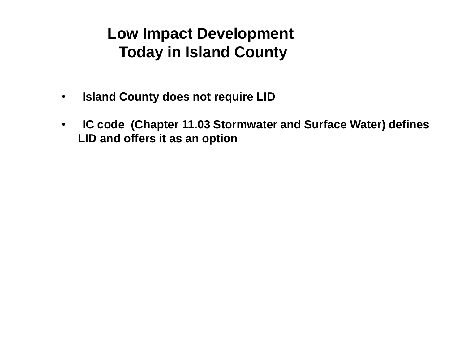### **Low Impact Development Today in Island County**

- **Island County does not require LID**
- **IC code (Chapter 11.03 Stormwater and Surface Water) defines LID and offers it as an option**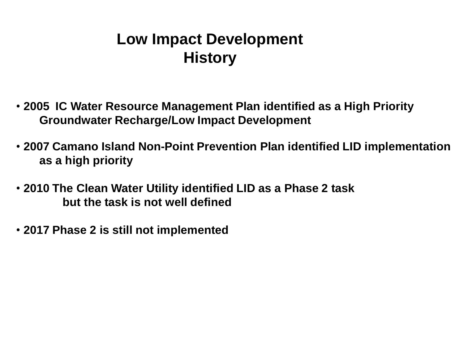## **Low Impact Development History**

- **2005 IC Water Resource Management Plan identified as a High Priority Groundwater Recharge/Low Impact Development**
- **2007 Camano Island Non-Point Prevention Plan identified LID implementation as a high priority**
- **2010 The Clean Water Utility identified LID as a Phase 2 task but the task is not well defined**
- **2017 Phase 2 is still not implemented**